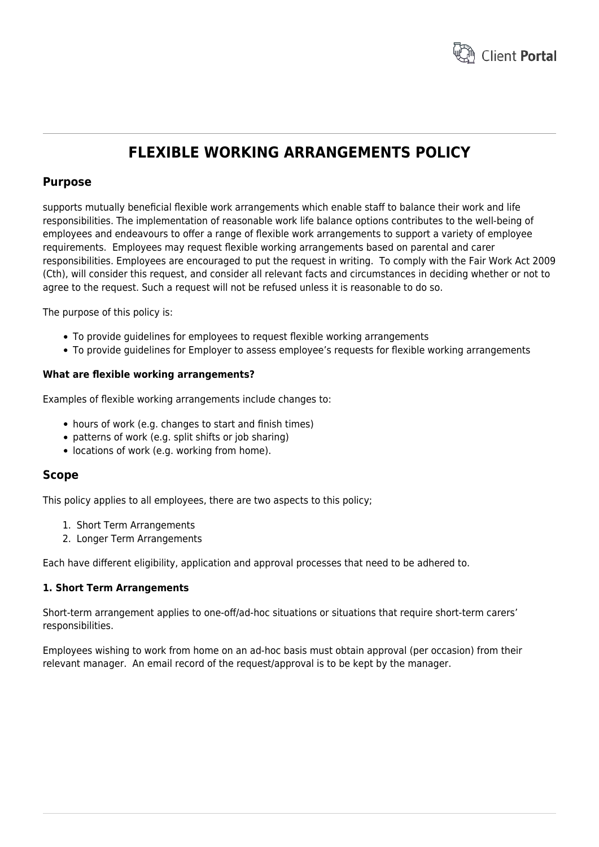

# **FLEXIBLE WORKING ARRANGEMENTS POLICY**

# **Purpose**

supports mutually beneficial flexible work arrangements which enable staff to balance their work and life responsibilities. The implementation of reasonable work life balance options contributes to the well-being of employees and endeavours to offer a range of flexible work arrangements to support a variety of employee requirements. Employees may request flexible working arrangements based on parental and carer responsibilities. Employees are encouraged to put the request in writing. To comply with the Fair Work Act 2009 (Cth), will consider this request, and consider all relevant facts and circumstances in deciding whether or not to agree to the request. Such a request will not be refused unless it is reasonable to do so.

The purpose of this policy is:

- To provide guidelines for employees to request flexible working arrangements
- To provide guidelines for Employer to assess employee's requests for flexible working arrangements

#### **What are flexible working arrangements?**

Examples of flexible working arrangements include changes to:

- hours of work (e.g. changes to start and finish times)
- patterns of work (e.g. split shifts or job sharing)
- locations of work (e.g. working from home).

# **Scope**

This policy applies to all employees, there are two aspects to this policy;

- 1. Short Term Arrangements
- 2. Longer Term Arrangements

Each have different eligibility, application and approval processes that need to be adhered to.

#### **1. Short Term Arrangements**

Short-term arrangement applies to one-off/ad-hoc situations or situations that require short-term carers' responsibilities.

Employees wishing to work from home on an ad-hoc basis must obtain approval (per occasion) from their relevant manager. An email record of the request/approval is to be kept by the manager.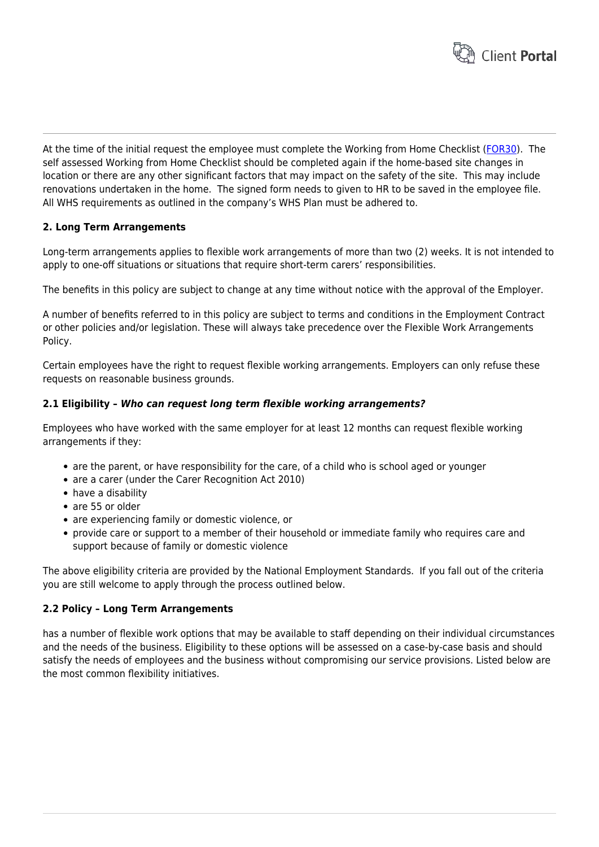

At the time of the initial request the employee must complete the Working from Home Checklist ([FOR30\)](https://www.hrtemplates.com.au/form_templates/hr-for30-working-from-home-checklist/). The self assessed Working from Home Checklist should be completed again if the home-based site changes in location or there are any other significant factors that may impact on the safety of the site. This may include renovations undertaken in the home. The signed form needs to given to HR to be saved in the employee file. All WHS requirements as outlined in the company's WHS Plan must be adhered to.

# **2. Long Term Arrangements**

Long-term arrangements applies to flexible work arrangements of more than two (2) weeks. It is not intended to apply to one-off situations or situations that require short-term carers' responsibilities.

The benefits in this policy are subject to change at any time without notice with the approval of the Employer.

A number of benefits referred to in this policy are subject to terms and conditions in the Employment Contract or other policies and/or legislation. These will always take precedence over the Flexible Work Arrangements Policy.

Certain employees have the right to request flexible working arrangements. Employers can only refuse these requests on reasonable business grounds.

#### **2.1 Eligibility –** *Who can request long term flexible working arrangements?*

Employees who have worked with the same employer for at least 12 months can request flexible working arrangements if they:

- are the parent, or have responsibility for the care, of a child who is school aged or younger
- are a carer (under the Carer Recognition Act 2010)
- have a disability
- are 55 or older
- are experiencing family or domestic violence, or
- provide care or support to a member of their household or immediate family who requires care and support because of family or domestic violence

The above eligibility criteria are provided by the National Employment Standards. If you fall out of the criteria you are still welcome to apply through the process outlined below.

#### **2.2 Policy – Long Term Arrangements**

has a number of flexible work options that may be available to staff depending on their individual circumstances and the needs of the business. Eligibility to these options will be assessed on a case-by-case basis and should satisfy the needs of employees and the business without compromising our service provisions. Listed below are the most common flexibility initiatives.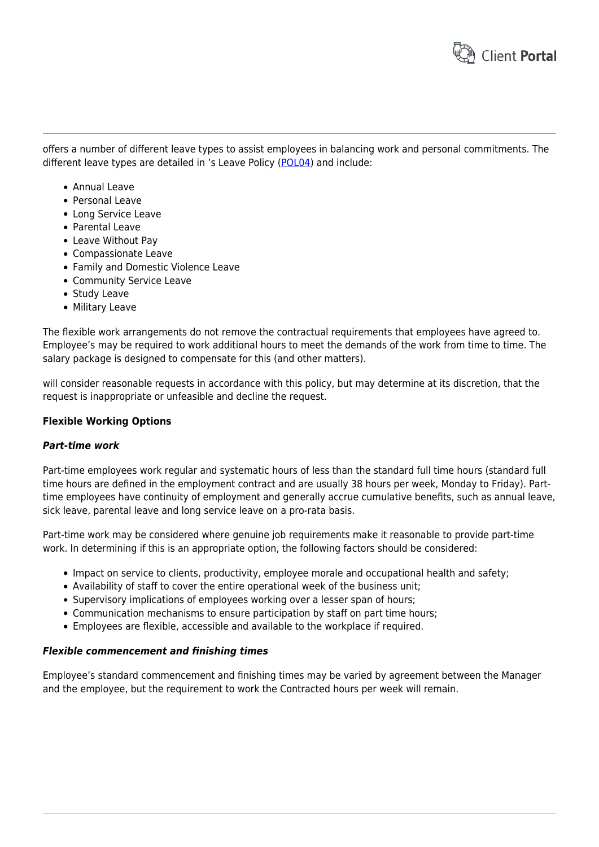

offers a number of different leave types to assist employees in balancing work and personal commitments. The different leave types are detailed in 's Leave Policy ([POL04](https://www.hrtemplates.com.au/policies_procedures/hr-pol04-leave-policy/)) and include:

- Annual Leave
- Personal Leave
- Long Service Leave
- Parental Leave
- Leave Without Pay
- Compassionate Leave
- Family and Domestic Violence Leave
- Community Service Leave
- Study Leave
- Military Leave

The flexible work arrangements do not remove the contractual requirements that employees have agreed to. Employee's may be required to work additional hours to meet the demands of the work from time to time. The salary package is designed to compensate for this (and other matters).

will consider reasonable requests in accordance with this policy, but may determine at its discretion, that the request is inappropriate or unfeasible and decline the request.

## **Flexible Working Options**

#### *Part-time work*

Part-time employees work regular and systematic hours of less than the standard full time hours (standard full time hours are defined in the employment contract and are usually 38 hours per week, Monday to Friday). Parttime employees have continuity of employment and generally accrue cumulative benefits, such as annual leave, sick leave, parental leave and long service leave on a pro-rata basis.

Part-time work may be considered where genuine job requirements make it reasonable to provide part-time work. In determining if this is an appropriate option, the following factors should be considered:

- Impact on service to clients, productivity, employee morale and occupational health and safety;
- Availability of staff to cover the entire operational week of the business unit;
- Supervisory implications of employees working over a lesser span of hours;
- Communication mechanisms to ensure participation by staff on part time hours;
- Employees are flexible, accessible and available to the workplace if required.

#### *Flexible commencement and finishing times*

Employee's standard commencement and finishing times may be varied by agreement between the Manager and the employee, but the requirement to work the Contracted hours per week will remain.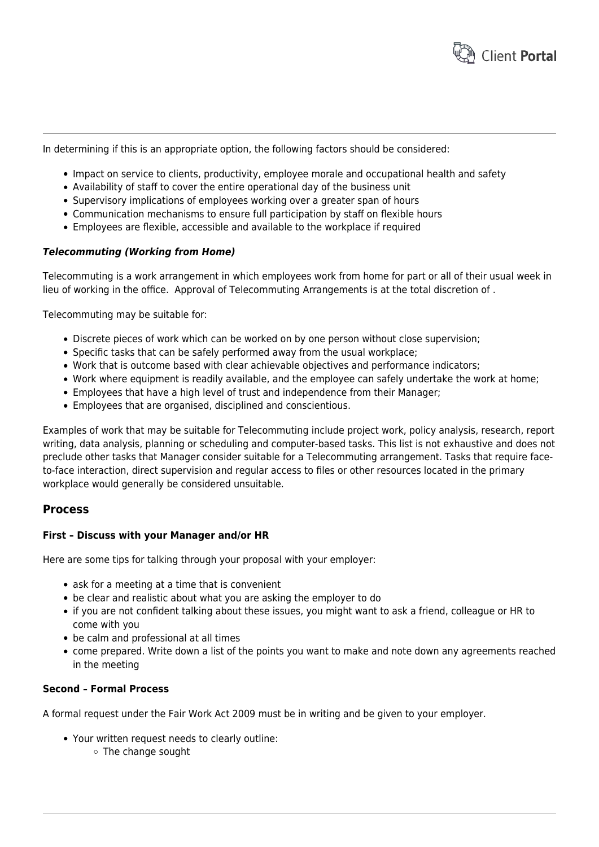

In determining if this is an appropriate option, the following factors should be considered:

- Impact on service to clients, productivity, employee morale and occupational health and safety
- Availability of staff to cover the entire operational day of the business unit
- Supervisory implications of employees working over a greater span of hours
- Communication mechanisms to ensure full participation by staff on flexible hours
- Employees are flexible, accessible and available to the workplace if required

#### *Telecommuting (Working from Home)*

Telecommuting is a work arrangement in which employees work from home for part or all of their usual week in lieu of working in the office. Approval of Telecommuting Arrangements is at the total discretion of .

Telecommuting may be suitable for:

- Discrete pieces of work which can be worked on by one person without close supervision;
- Specific tasks that can be safely performed away from the usual workplace;
- Work that is outcome based with clear achievable objectives and performance indicators;
- Work where equipment is readily available, and the employee can safely undertake the work at home;
- Employees that have a high level of trust and independence from their Manager;
- Employees that are organised, disciplined and conscientious.

Examples of work that may be suitable for Telecommuting include project work, policy analysis, research, report writing, data analysis, planning or scheduling and computer-based tasks. This list is not exhaustive and does not preclude other tasks that Manager consider suitable for a Telecommuting arrangement. Tasks that require faceto-face interaction, direct supervision and regular access to files or other resources located in the primary workplace would generally be considered unsuitable.

# **Process**

#### **First – Discuss with your Manager and/or HR**

Here are some tips for talking through your proposal with your employer:

- ask for a meeting at a time that is convenient
- be clear and realistic about what you are asking the employer to do
- if you are not confident talking about these issues, you might want to ask a friend, colleague or HR to come with you
- be calm and professional at all times
- come prepared. Write down a list of the points you want to make and note down any agreements reached in the meeting

# **Second – Formal Process**

A formal request under the Fair Work Act 2009 must be in writing and be given to your employer.

- Your written request needs to clearly outline:
	- The change sought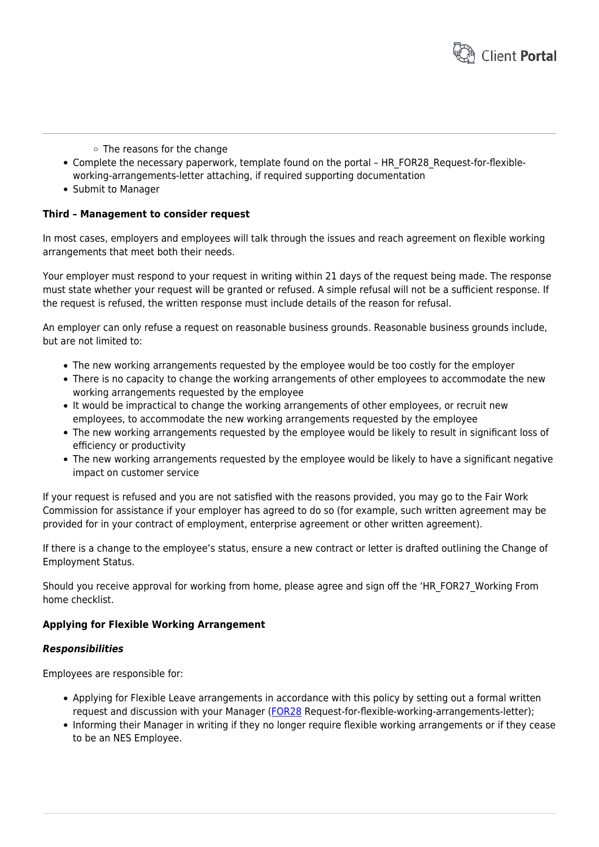

- $\circ$  The reasons for the change
- Complete the necessary paperwork, template found on the portal HR\_FOR28\_Request-for-flexibleworking-arrangements-letter attaching, if required supporting documentation
- Submit to Manager

# **Third – Management to consider request**

In most cases, employers and employees will talk through the issues and reach agreement on flexible working arrangements that meet both their needs.

Your employer must respond to your request in writing within 21 days of the request being made. The response must state whether your request will be granted or refused. A simple refusal will not be a sufficient response. If the request is refused, the written response must include details of the reason for refusal.

An employer can only refuse a request on reasonable business grounds. Reasonable business grounds include, but are not limited to:

- The new working arrangements requested by the employee would be too costly for the employer
- There is no capacity to change the working arrangements of other employees to accommodate the new working arrangements requested by the employee
- It would be impractical to change the working arrangements of other employees, or recruit new employees, to accommodate the new working arrangements requested by the employee
- The new working arrangements requested by the employee would be likely to result in significant loss of efficiency or productivity
- The new working arrangements requested by the employee would be likely to have a significant negative impact on customer service

If your request is refused and you are not satisfied with the reasons provided, you may go to the Fair Work Commission for assistance if your employer has agreed to do so (for example, such written agreement may be provided for in your contract of employment, enterprise agreement or other written agreement).

If there is a change to the employee's status, ensure a new contract or letter is drafted outlining the Change of Employment Status.

Should you receive approval for working from home, please agree and sign off the 'HR\_FOR27\_Working From home checklist.

#### **Applying for Flexible Working Arrangement**

#### *Responsibilities*

Employees are responsible for:

- Applying for Flexible Leave arrangements in accordance with this policy by setting out a formal written request and discussion with your Manager ([FOR28](https://www.hrtemplates.com.au/form_templates/hr-for28-request-for-flexible-working-arrangements-letter/) Request-for-flexible-working-arrangements-letter);
- Informing their Manager in writing if they no longer require flexible working arrangements or if they cease to be an NES Employee.